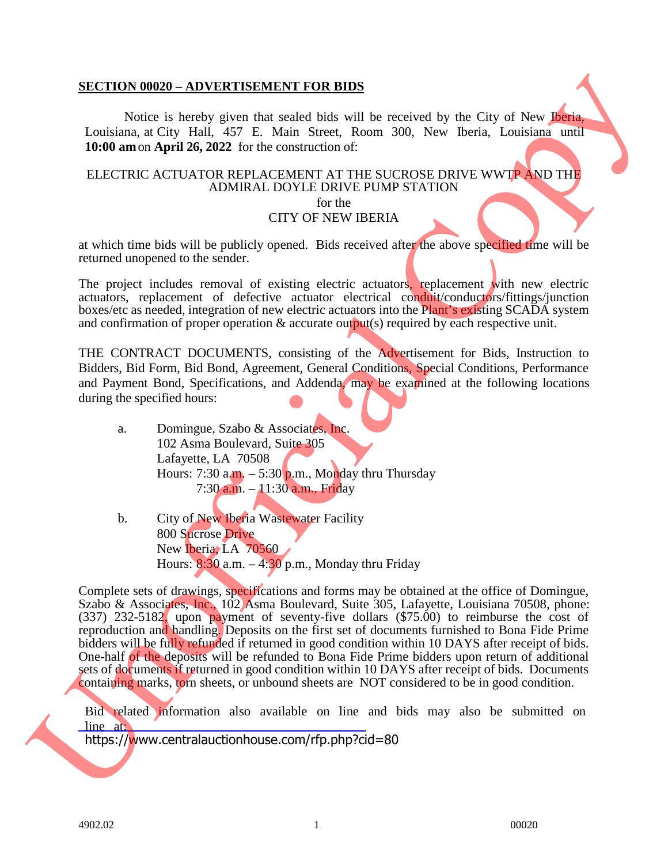## **SECTION 00020 – ADVERTISEMENT FOR BIDS**

Notice is hereby given that sealed bids will be received by the City of New Iberia, Louisiana, at City Hall, 457 E. Main Street, Room 300, New Iberia, Louisiana until **10:00 am**on **April 26, 2022** for the construction of:

## ELECTRIC ACTUATOR REPLACEMENT AT THE SUCROSE DRIVE WWTP AND THE ADMIRAL DOYLE DRIVE PUMP STATION

for the

CITY OF NEW IBERIA

at which time bids will be publicly opened. Bids received after the above specified time will be returned unopened to the sender.

The project includes removal of existing electric actuators, replacement with new electric actuators, replacement of defective actuator electrical conduit/conductors/fittings/junction boxes/etc as needed, integration of new electric actuators into the Plant's existing SCADA system and confirmation of proper operation & accurate output(s) required by each respective unit.

THE CONTRACT DOCUMENTS, consisting of the Advertisement for Bids, Instruction to Bidders, Bid Form, Bid Bond, Agreement, General Conditions, Special Conditions, Performance and Payment Bond, Specifications, and Addenda, may be examined at the following locations during the specified hours:

- a. Domingue, Szabo & Associates, Inc. 102 Asma Boulevard, Suite 305 Lafayette, LA 70508 Hours: 7:30 a.m.  $-$  5:30 p.m., Monday thru Thursday 7:30 a.m. – 11:30 a.m., Friday
- b. City of New Iberia Wastewater Facility 800 Sucrose Drive New Iberia, LA 70560 Hours:  $8:30$  a.m.  $-4:30$  p.m., Monday thru Friday

Complete sets of drawings, specifications and forms may be obtained at the office of Domingue, Szabo & Associates, Inc., 102 Asma Boulevard, Suite 305, Lafayette, Louisiana 70508, phone: (337) 232-5182, upon payment of seventy-five dollars (\$75.00) to reimburse the cost of reproduction and handling. Deposits on the first set of documents furnished to Bona Fide Prime bidders will be fully refunded if returned in good condition within 10 DAYS after receipt of bids. One-half of the deposits will be refunded to Bona Fide Prime bidders upon return of additional sets of documents if returned in good condition within 10 DAYS after receipt of bids. Documents containing marks, torn sheets, or unbound sheets are NOT considered to be in good condition. SECTION 09929 - ADVERTISEMENT FOR B[U](https://www.centralauctionhouse.com/rfp.php?cid=80)XE<br>
Vasic in between the section in the received by the City of New York Louisians, at Giv Hall, 457 E. Main Stevet, Room 300, New Berin, Louisians until<br>
16:90 unors April 26, 2022 for

Bid related information also available on line and bids may also be submitted on line at: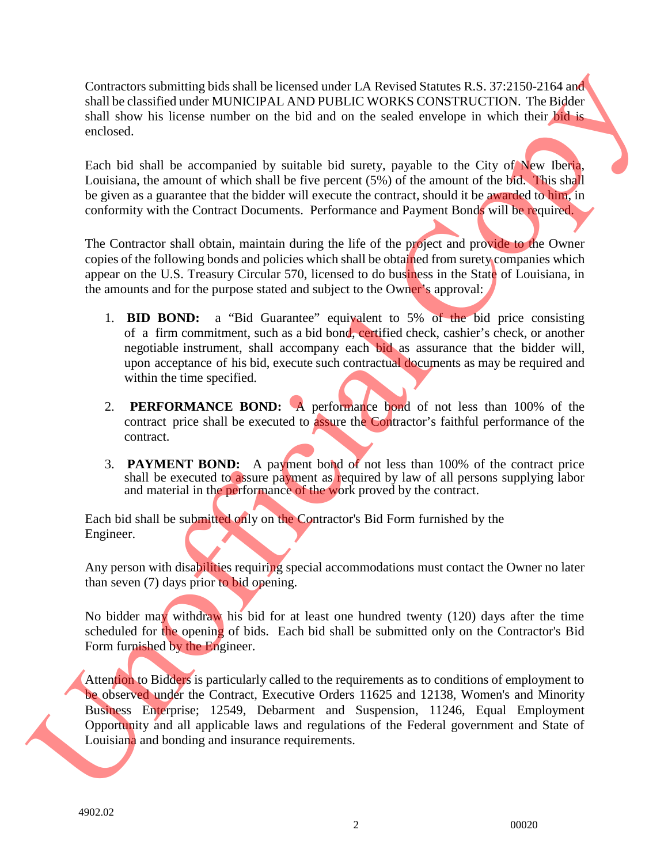Contractors submitting bids shall be licensed under LA Revised Statutes R.S. 37:2150-2164 and shall be classified under MUNICIPAL AND PUBLIC WORKS CONSTRUCTION. The Bidder shall show his license number on the bid and on the sealed envelope in which their bid is enclosed.

Each bid shall be accompanied by suitable bid surety, payable to the City of New Iberia, Louisiana, the amount of which shall be five percent (5%) of the amount of the bid. This shall be given as a guarantee that the bidder will execute the contract, should it be awarded to him, in conformity with the Contract Documents. Performance and Payment Bonds will be required.

The Contractor shall obtain, maintain during the life of the project and provide to the Owner copies of the following bonds and policies which shall be obtained from surety companies which appear on the U.S. Treasury Circular 570, licensed to do business in the State of Louisiana, in the amounts and for the purpose stated and subject to the Owner's approval:

- 1. **BID BOND:** a "Bid Guarantee" equivalent to 5% of the bid price consisting of a firm commitment, such as a bid bond, certified check, cashier's check, or another negotiable instrument, shall accompany each bid as assurance that the bidder will, upon acceptance of his bid, execute such contractual documents as may be required and within the time specified.
- 2. **PERFORMANCE BOND:** A performance bond of not less than 100% of the contract price shall be executed to assure the Contractor's faithful performance of the contract.
- 3. **PAYMENT BOND:** A payment bond of not less than 100% of the contract price shall be executed to assure payment as required by law of all persons supplying labor and material in the performance of the work proved by the contract.

Each bid shall be submitted only on the Contractor's Bid Form furnished by the Engineer.

Any person with disabilities requiring special accommodations must contact the Owner no later than seven (7) days prior to bid opening.

No bidder may withdraw his bid for at least one hundred twenty (120) days after the time scheduled for the opening of bids. Each bid shall be submitted only on the Contractor's Bid Form furnished by the Engineer.

Attention to Bidders is particularly called to the requirements as to conditions of employment to be observed under the Contract, Executive Orders 11625 and 12138, Women's and Minority Business Enterprise; 12549, Debarment and Suspension, 11246, Equal Employment Opportunity and all applicable laws and regulations of the Federal government and State of Comments which the location of the location of the location of the selection of the selection of the selection of the selection of the selection of the selection of the selection of the selection of the selection of the s